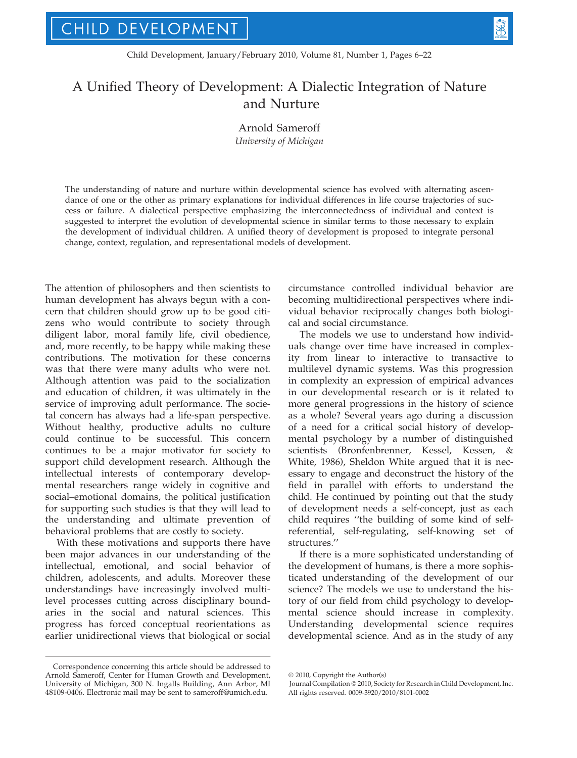

# A Unified Theory of Development: A Dialectic Integration of Nature and Nurture

Arnold Sameroff

University of Michigan

The understanding of nature and nurture within developmental science has evolved with alternating ascendance of one or the other as primary explanations for individual differences in life course trajectories of success or failure. A dialectical perspective emphasizing the interconnectedness of individual and context is suggested to interpret the evolution of developmental science in similar terms to those necessary to explain the development of individual children. A unified theory of development is proposed to integrate personal change, context, regulation, and representational models of development.

The attention of philosophers and then scientists to human development has always begun with a concern that children should grow up to be good citizens who would contribute to society through diligent labor, moral family life, civil obedience, and, more recently, to be happy while making these contributions. The motivation for these concerns was that there were many adults who were not. Although attention was paid to the socialization and education of children, it was ultimately in the service of improving adult performance. The societal concern has always had a life-span perspective. Without healthy, productive adults no culture could continue to be successful. This concern continues to be a major motivator for society to support child development research. Although the intellectual interests of contemporary developmental researchers range widely in cognitive and social–emotional domains, the political justification for supporting such studies is that they will lead to the understanding and ultimate prevention of behavioral problems that are costly to society.

With these motivations and supports there have been major advances in our understanding of the intellectual, emotional, and social behavior of children, adolescents, and adults. Moreover these understandings have increasingly involved multilevel processes cutting across disciplinary boundaries in the social and natural sciences. This progress has forced conceptual reorientations as earlier unidirectional views that biological or social circumstance controlled individual behavior are becoming multidirectional perspectives where individual behavior reciprocally changes both biological and social circumstance.

The models we use to understand how individuals change over time have increased in complexity from linear to interactive to transactive to multilevel dynamic systems. Was this progression in complexity an expression of empirical advances in our developmental research or is it related to more general progressions in the history of science as a whole? Several years ago during a discussion of a need for a critical social history of developmental psychology by a number of distinguished scientists (Bronfenbrenner, Kessel, Kessen, & White, 1986), Sheldon White argued that it is necessary to engage and deconstruct the history of the field in parallel with efforts to understand the child. He continued by pointing out that the study of development needs a self-concept, just as each child requires ''the building of some kind of selfreferential, self-regulating, self-knowing set of structures.''

If there is a more sophisticated understanding of the development of humans, is there a more sophisticated understanding of the development of our science? The models we use to understand the history of our field from child psychology to developmental science should increase in complexity. Understanding developmental science requires developmental science. And as in the study of any

Correspondence concerning this article should be addressed to Arnold Sameroff, Center for Human Growth and Development, University of Michigan, 300 N. Ingalls Building, Ann Arbor, MI 48109-0406. Electronic mail may be sent to sameroff@umich.edu.

<sup>© 2010,</sup> Copyright the Author(s)

Journal Compilation © 2010, Society for Research in Child Development, Inc. All rights reserved. 0009-3920/2010/8101-0002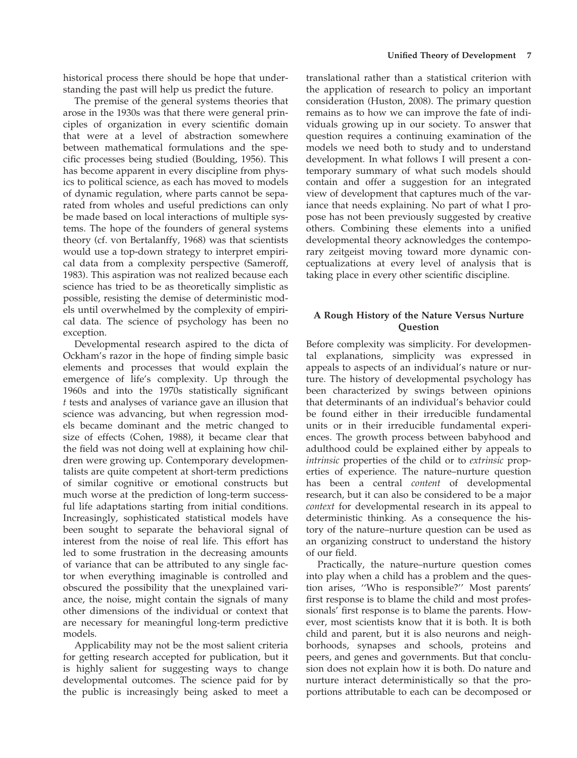historical process there should be hope that understanding the past will help us predict the future.

The premise of the general systems theories that arose in the 1930s was that there were general principles of organization in every scientific domain that were at a level of abstraction somewhere between mathematical formulations and the specific processes being studied (Boulding, 1956). This has become apparent in every discipline from physics to political science, as each has moved to models of dynamic regulation, where parts cannot be separated from wholes and useful predictions can only be made based on local interactions of multiple systems. The hope of the founders of general systems theory (cf. von Bertalanffy, 1968) was that scientists would use a top-down strategy to interpret empirical data from a complexity perspective (Sameroff, 1983). This aspiration was not realized because each science has tried to be as theoretically simplistic as possible, resisting the demise of deterministic models until overwhelmed by the complexity of empirical data. The science of psychology has been no exception.

Developmental research aspired to the dicta of Ockham's razor in the hope of finding simple basic elements and processes that would explain the emergence of life's complexity. Up through the 1960s and into the 1970s statistically significant t tests and analyses of variance gave an illusion that science was advancing, but when regression models became dominant and the metric changed to size of effects (Cohen, 1988), it became clear that the field was not doing well at explaining how children were growing up. Contemporary developmentalists are quite competent at short-term predictions of similar cognitive or emotional constructs but much worse at the prediction of long-term successful life adaptations starting from initial conditions. Increasingly, sophisticated statistical models have been sought to separate the behavioral signal of interest from the noise of real life. This effort has led to some frustration in the decreasing amounts of variance that can be attributed to any single factor when everything imaginable is controlled and obscured the possibility that the unexplained variance, the noise, might contain the signals of many other dimensions of the individual or context that are necessary for meaningful long-term predictive models.

Applicability may not be the most salient criteria for getting research accepted for publication, but it is highly salient for suggesting ways to change developmental outcomes. The science paid for by the public is increasingly being asked to meet a

translational rather than a statistical criterion with the application of research to policy an important consideration (Huston, 2008). The primary question remains as to how we can improve the fate of individuals growing up in our society. To answer that question requires a continuing examination of the models we need both to study and to understand development. In what follows I will present a contemporary summary of what such models should contain and offer a suggestion for an integrated view of development that captures much of the variance that needs explaining. No part of what I propose has not been previously suggested by creative others. Combining these elements into a unified developmental theory acknowledges the contemporary zeitgeist moving toward more dynamic conceptualizations at every level of analysis that is taking place in every other scientific discipline.

# A Rough History of the Nature Versus Nurture **Question**

Before complexity was simplicity. For developmental explanations, simplicity was expressed in appeals to aspects of an individual's nature or nurture. The history of developmental psychology has been characterized by swings between opinions that determinants of an individual's behavior could be found either in their irreducible fundamental units or in their irreducible fundamental experiences. The growth process between babyhood and adulthood could be explained either by appeals to intrinsic properties of the child or to extrinsic properties of experience. The nature–nurture question has been a central content of developmental research, but it can also be considered to be a major context for developmental research in its appeal to deterministic thinking. As a consequence the history of the nature–nurture question can be used as an organizing construct to understand the history of our field.

Practically, the nature–nurture question comes into play when a child has a problem and the question arises, ''Who is responsible?'' Most parents' first response is to blame the child and most professionals' first response is to blame the parents. However, most scientists know that it is both. It is both child and parent, but it is also neurons and neighborhoods, synapses and schools, proteins and peers, and genes and governments. But that conclusion does not explain how it is both. Do nature and nurture interact deterministically so that the proportions attributable to each can be decomposed or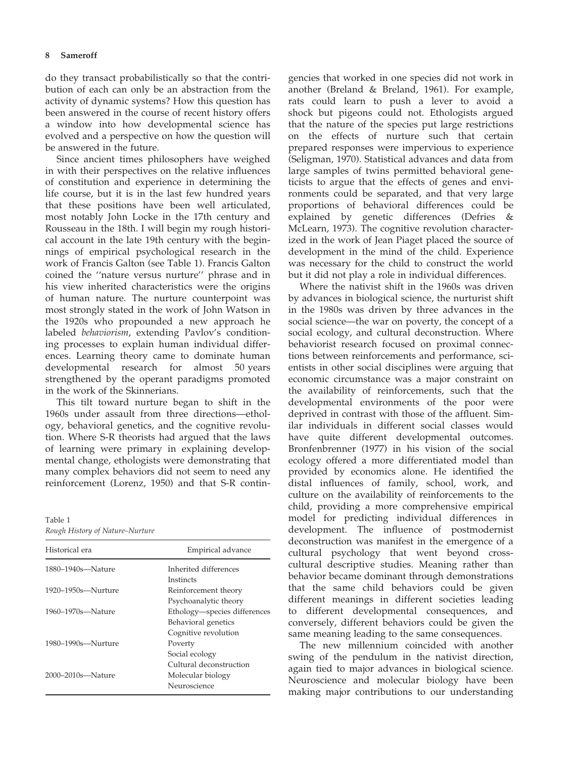do they transact probabilistically so that the contribution of each can only be an abstraction from the activity of dynamic systems? How this question has been answered in the course of recent history offers a window into how developmental science has evolved and a perspective on how the question will be answered in the future.

Since ancient times philosophers have weighed in with their perspectives on the relative influences of constitution and experience in determining the life course, but it is in the last few hundred years that these positions have been well articulated, most notably John Locke in the 17th century and Rousseau in the 18th. I will begin my rough historical account in the late 19th century with the beginnings of empirical psychological research in the work of Francis Galton (see Table 1). Francis Galton coined the ''nature versus nurture'' phrase and in his view inherited characteristics were the origins of human nature. The nurture counterpoint was most strongly stated in the work of John Watson in the 1920s who propounded a new approach he labeled behaviorism, extending Pavlov's conditioning processes to explain human individual differences. Learning theory came to dominate human developmental research for almost 50 years strengthened by the operant paradigms promoted in the work of the Skinnerians.

This tilt toward nurture began to shift in the 1960s under assault from three directions—ethology, behavioral genetics, and the cognitive revolution. Where S-R theorists had argued that the laws of learning were primary in explaining developmental change, ethologists were demonstrating that many complex behaviors did not seem to need any reinforcement (Lorenz, 1950) and that S-R contin-

| Table 1                         |
|---------------------------------|
| Rough History of Nature–Nurture |

| Historical era     | Empirical advance            |
|--------------------|------------------------------|
| 1880–1940s—Nature  | Inherited differences        |
|                    | Instincts                    |
| 1920-1950s-Nurture | Reinforcement theory         |
|                    | Psychoanalytic theory        |
| 1960–1970s—Nature  | Ethology—species differences |
|                    | Behavioral genetics          |
|                    | Cognitive revolution         |
| 1980–1990s—Nurture | Poverty                      |
|                    | Social ecology               |
|                    | Cultural deconstruction      |
| 2000–2010s-Nature  | Molecular biology            |
|                    | Neuroscience                 |

gencies that worked in one species did not work in another (Breland & Breland, 1961). For example, rats could learn to push a lever to avoid a shock but pigeons could not. Ethologists argued that the nature of the species put large restrictions on the effects of nurture such that certain prepared responses were impervious to experience (Seligman, 1970). Statistical advances and data from large samples of twins permitted behavioral geneticists to argue that the effects of genes and environments could be separated, and that very large proportions of behavioral differences could be explained by genetic differences (Defries & McLearn, 1973). The cognitive revolution characterized in the work of Jean Piaget placed the source of development in the mind of the child. Experience was necessary for the child to construct the world but it did not play a role in individual differences.

Where the nativist shift in the 1960s was driven by advances in biological science, the nurturist shift in the 1980s was driven by three advances in the social science—the war on poverty, the concept of a social ecology, and cultural deconstruction. Where behaviorist research focused on proximal connections between reinforcements and performance, scientists in other social disciplines were arguing that economic circumstance was a major constraint on the availability of reinforcements, such that the developmental environments of the poor were deprived in contrast with those of the affluent. Similar individuals in different social classes would have quite different developmental outcomes. Bronfenbrenner (1977) in his vision of the social ecology offered a more differentiated model than provided by economics alone. He identified the distal influences of family, school, work, and culture on the availability of reinforcements to the child, providing a more comprehensive empirical model for predicting individual differences in development. The influence of postmodernist deconstruction was manifest in the emergence of a cultural psychology that went beyond crosscultural descriptive studies. Meaning rather than behavior became dominant through demonstrations that the same child behaviors could be given different meanings in different societies leading to different developmental consequences, and conversely, different behaviors could be given the same meaning leading to the same consequences.

The new millennium coincided with another swing of the pendulum in the nativist direction, again tied to major advances in biological science. Neuroscience and molecular biology have been making major contributions to our understanding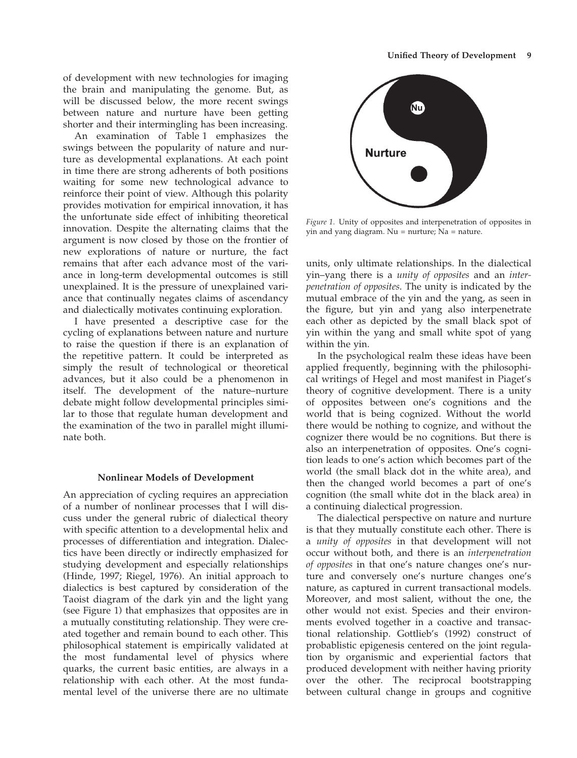of development with new technologies for imaging the brain and manipulating the genome. But, as will be discussed below, the more recent swings between nature and nurture have been getting shorter and their intermingling has been increasing.

An examination of Table 1 emphasizes the swings between the popularity of nature and nurture as developmental explanations. At each point in time there are strong adherents of both positions waiting for some new technological advance to reinforce their point of view. Although this polarity provides motivation for empirical innovation, it has the unfortunate side effect of inhibiting theoretical innovation. Despite the alternating claims that the argument is now closed by those on the frontier of new explorations of nature or nurture, the fact remains that after each advance most of the variance in long-term developmental outcomes is still unexplained. It is the pressure of unexplained variance that continually negates claims of ascendancy and dialectically motivates continuing exploration.

I have presented a descriptive case for the cycling of explanations between nature and nurture to raise the question if there is an explanation of the repetitive pattern. It could be interpreted as simply the result of technological or theoretical advances, but it also could be a phenomenon in itself. The development of the nature–nurture debate might follow developmental principles similar to those that regulate human development and the examination of the two in parallel might illuminate both.

#### Nonlinear Models of Development

An appreciation of cycling requires an appreciation of a number of nonlinear processes that I will discuss under the general rubric of dialectical theory with specific attention to a developmental helix and processes of differentiation and integration. Dialectics have been directly or indirectly emphasized for studying development and especially relationships (Hinde, 1997; Riegel, 1976). An initial approach to dialectics is best captured by consideration of the Taoist diagram of the dark yin and the light yang (see Figure 1) that emphasizes that opposites are in a mutually constituting relationship. They were created together and remain bound to each other. This philosophical statement is empirically validated at the most fundamental level of physics where quarks, the current basic entities, are always in a relationship with each other. At the most fundamental level of the universe there are no ultimate



Figure 1. Unity of opposites and interpenetration of opposites in yin and yang diagram.  $Nu =$  nurture;  $Na =$  nature.

units, only ultimate relationships. In the dialectical yin–yang there is a unity of opposites and an interpenetration of opposites. The unity is indicated by the mutual embrace of the yin and the yang, as seen in the figure, but yin and yang also interpenetrate each other as depicted by the small black spot of yin within the yang and small white spot of yang within the yin.

In the psychological realm these ideas have been applied frequently, beginning with the philosophical writings of Hegel and most manifest in Piaget's theory of cognitive development. There is a unity of opposites between one's cognitions and the world that is being cognized. Without the world there would be nothing to cognize, and without the cognizer there would be no cognitions. But there is also an interpenetration of opposites. One's cognition leads to one's action which becomes part of the world (the small black dot in the white area), and then the changed world becomes a part of one's cognition (the small white dot in the black area) in a continuing dialectical progression.

The dialectical perspective on nature and nurture is that they mutually constitute each other. There is a unity of opposites in that development will not occur without both, and there is an interpenetration of opposites in that one's nature changes one's nurture and conversely one's nurture changes one's nature, as captured in current transactional models. Moreover, and most salient, without the one, the other would not exist. Species and their environments evolved together in a coactive and transactional relationship. Gottlieb's (1992) construct of probablistic epigenesis centered on the joint regulation by organismic and experiential factors that produced development with neither having priority over the other. The reciprocal bootstrapping between cultural change in groups and cognitive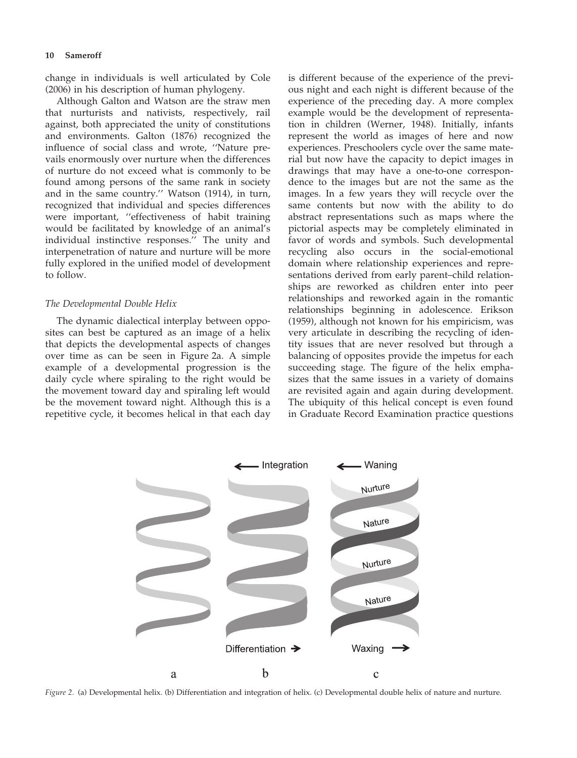change in individuals is well articulated by Cole (2006) in his description of human phylogeny.

Although Galton and Watson are the straw men that nurturists and nativists, respectively, rail against, both appreciated the unity of constitutions and environments. Galton (1876) recognized the influence of social class and wrote, ''Nature prevails enormously over nurture when the differences of nurture do not exceed what is commonly to be found among persons of the same rank in society and in the same country.'' Watson (1914), in turn, recognized that individual and species differences were important, ''effectiveness of habit training would be facilitated by knowledge of an animal's individual instinctive responses.'' The unity and interpenetration of nature and nurture will be more fully explored in the unified model of development to follow.

#### The Developmental Double Helix

The dynamic dialectical interplay between opposites can best be captured as an image of a helix that depicts the developmental aspects of changes over time as can be seen in Figure 2a. A simple example of a developmental progression is the daily cycle where spiraling to the right would be the movement toward day and spiraling left would be the movement toward night. Although this is a repetitive cycle, it becomes helical in that each day is different because of the experience of the previous night and each night is different because of the experience of the preceding day. A more complex example would be the development of representation in children (Werner, 1948). Initially, infants represent the world as images of here and now experiences. Preschoolers cycle over the same material but now have the capacity to depict images in drawings that may have a one-to-one correspondence to the images but are not the same as the images. In a few years they will recycle over the same contents but now with the ability to do abstract representations such as maps where the pictorial aspects may be completely eliminated in favor of words and symbols. Such developmental recycling also occurs in the social-emotional domain where relationship experiences and representations derived from early parent–child relationships are reworked as children enter into peer relationships and reworked again in the romantic relationships beginning in adolescence. Erikson (1959), although not known for his empiricism, was very articulate in describing the recycling of identity issues that are never resolved but through a balancing of opposites provide the impetus for each succeeding stage. The figure of the helix emphasizes that the same issues in a variety of domains are revisited again and again during development. The ubiquity of this helical concept is even found in Graduate Record Examination practice questions



Figure 2. (a) Developmental helix. (b) Differentiation and integration of helix. (c) Developmental double helix of nature and nurture.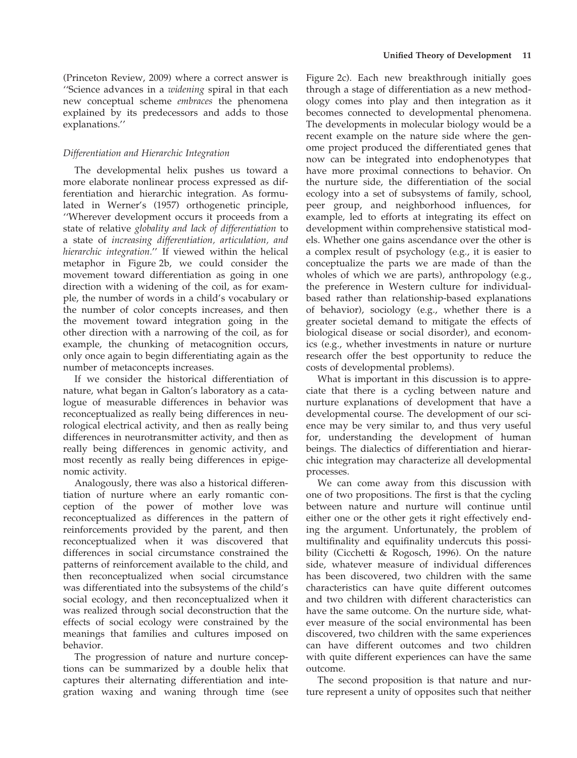(Princeton Review, 2009) where a correct answer is ''Science advances in a widening spiral in that each new conceptual scheme embraces the phenomena explained by its predecessors and adds to those explanations.''

# Differentiation and Hierarchic Integration

The developmental helix pushes us toward a more elaborate nonlinear process expressed as differentiation and hierarchic integration. As formulated in Werner's (1957) orthogenetic principle, ''Wherever development occurs it proceeds from a state of relative globality and lack of differentiation to a state of increasing differentiation, articulation, and hierarchic integration.'' If viewed within the helical metaphor in Figure 2b, we could consider the movement toward differentiation as going in one direction with a widening of the coil, as for example, the number of words in a child's vocabulary or the number of color concepts increases, and then the movement toward integration going in the other direction with a narrowing of the coil, as for example, the chunking of metacognition occurs, only once again to begin differentiating again as the number of metaconcepts increases.

If we consider the historical differentiation of nature, what began in Galton's laboratory as a catalogue of measurable differences in behavior was reconceptualized as really being differences in neurological electrical activity, and then as really being differences in neurotransmitter activity, and then as really being differences in genomic activity, and most recently as really being differences in epigenomic activity.

Analogously, there was also a historical differentiation of nurture where an early romantic conception of the power of mother love was reconceptualized as differences in the pattern of reinforcements provided by the parent, and then reconceptualized when it was discovered that differences in social circumstance constrained the patterns of reinforcement available to the child, and then reconceptualized when social circumstance was differentiated into the subsystems of the child's social ecology, and then reconceptualized when it was realized through social deconstruction that the effects of social ecology were constrained by the meanings that families and cultures imposed on behavior.

The progression of nature and nurture conceptions can be summarized by a double helix that captures their alternating differentiation and integration waxing and waning through time (see

Figure 2c). Each new breakthrough initially goes through a stage of differentiation as a new methodology comes into play and then integration as it becomes connected to developmental phenomena. The developments in molecular biology would be a recent example on the nature side where the genome project produced the differentiated genes that now can be integrated into endophenotypes that have more proximal connections to behavior. On the nurture side, the differentiation of the social ecology into a set of subsystems of family, school, peer group, and neighborhood influences, for example, led to efforts at integrating its effect on development within comprehensive statistical models. Whether one gains ascendance over the other is a complex result of psychology (e.g., it is easier to conceptualize the parts we are made of than the wholes of which we are parts), anthropology (e.g., the preference in Western culture for individualbased rather than relationship-based explanations of behavior), sociology (e.g., whether there is a greater societal demand to mitigate the effects of biological disease or social disorder), and economics (e.g., whether investments in nature or nurture research offer the best opportunity to reduce the costs of developmental problems).

What is important in this discussion is to appreciate that there is a cycling between nature and nurture explanations of development that have a developmental course. The development of our science may be very similar to, and thus very useful for, understanding the development of human beings. The dialectics of differentiation and hierarchic integration may characterize all developmental processes.

We can come away from this discussion with one of two propositions. The first is that the cycling between nature and nurture will continue until either one or the other gets it right effectively ending the argument. Unfortunately, the problem of multifinality and equifinality undercuts this possibility (Cicchetti & Rogosch, 1996). On the nature side, whatever measure of individual differences has been discovered, two children with the same characteristics can have quite different outcomes and two children with different characteristics can have the same outcome. On the nurture side, whatever measure of the social environmental has been discovered, two children with the same experiences can have different outcomes and two children with quite different experiences can have the same outcome.

The second proposition is that nature and nurture represent a unity of opposites such that neither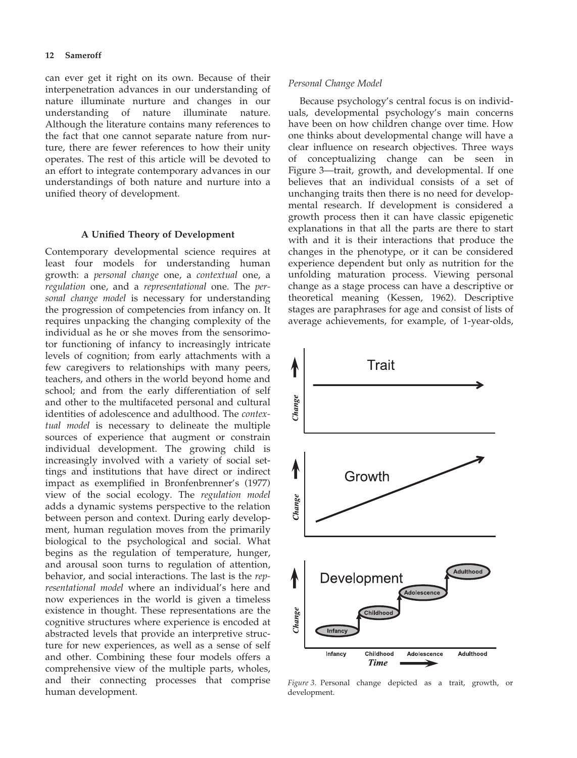can ever get it right on its own. Because of their interpenetration advances in our understanding of nature illuminate nurture and changes in our understanding of nature illuminate nature. Although the literature contains many references to the fact that one cannot separate nature from nurture, there are fewer references to how their unity operates. The rest of this article will be devoted to an effort to integrate contemporary advances in our understandings of both nature and nurture into a unified theory of development.

#### A Unified Theory of Development

Contemporary developmental science requires at least four models for understanding human growth: a personal change one, a contextual one, a regulation one, and a representational one. The personal change model is necessary for understanding the progression of competencies from infancy on. It requires unpacking the changing complexity of the individual as he or she moves from the sensorimotor functioning of infancy to increasingly intricate levels of cognition; from early attachments with a few caregivers to relationships with many peers, teachers, and others in the world beyond home and school; and from the early differentiation of self and other to the multifaceted personal and cultural identities of adolescence and adulthood. The contextual model is necessary to delineate the multiple sources of experience that augment or constrain individual development. The growing child is increasingly involved with a variety of social settings and institutions that have direct or indirect impact as exemplified in Bronfenbrenner's (1977) view of the social ecology. The regulation model adds a dynamic systems perspective to the relation between person and context. During early development, human regulation moves from the primarily biological to the psychological and social. What begins as the regulation of temperature, hunger, and arousal soon turns to regulation of attention, behavior, and social interactions. The last is the representational model where an individual's here and now experiences in the world is given a timeless existence in thought. These representations are the cognitive structures where experience is encoded at abstracted levels that provide an interpretive structure for new experiences, as well as a sense of self and other. Combining these four models offers a comprehensive view of the multiple parts, wholes, and their connecting processes that comprise human development.

#### Personal Change Model

Because psychology's central focus is on individuals, developmental psychology's main concerns have been on how children change over time. How one thinks about developmental change will have a clear influence on research objectives. Three ways of conceptualizing change can be seen in Figure 3—trait, growth, and developmental. If one believes that an individual consists of a set of unchanging traits then there is no need for developmental research. If development is considered a growth process then it can have classic epigenetic explanations in that all the parts are there to start with and it is their interactions that produce the changes in the phenotype, or it can be considered experience dependent but only as nutrition for the unfolding maturation process. Viewing personal change as a stage process can have a descriptive or theoretical meaning (Kessen, 1962). Descriptive stages are paraphrases for age and consist of lists of average achievements, for example, of 1-year-olds,



Figure 3. Personal change depicted as a trait, growth, or development.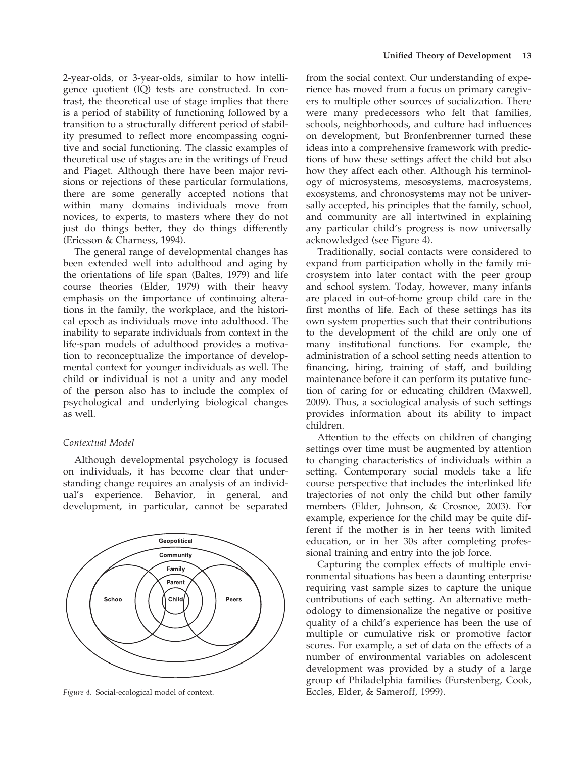2-year-olds, or 3-year-olds, similar to how intelligence quotient (IQ) tests are constructed. In contrast, the theoretical use of stage implies that there is a period of stability of functioning followed by a transition to a structurally different period of stability presumed to reflect more encompassing cognitive and social functioning. The classic examples of theoretical use of stages are in the writings of Freud and Piaget. Although there have been major revisions or rejections of these particular formulations, there are some generally accepted notions that within many domains individuals move from novices, to experts, to masters where they do not just do things better, they do things differently (Ericsson & Charness, 1994).

The general range of developmental changes has been extended well into adulthood and aging by the orientations of life span (Baltes, 1979) and life course theories (Elder, 1979) with their heavy emphasis on the importance of continuing alterations in the family, the workplace, and the historical epoch as individuals move into adulthood. The inability to separate individuals from context in the life-span models of adulthood provides a motivation to reconceptualize the importance of developmental context for younger individuals as well. The child or individual is not a unity and any model of the person also has to include the complex of psychological and underlying biological changes as well.

## Contextual Model

Although developmental psychology is focused on individuals, it has become clear that understanding change requires an analysis of an individual's experience. Behavior, in general, and development, in particular, cannot be separated



from the social context. Our understanding of experience has moved from a focus on primary caregivers to multiple other sources of socialization. There were many predecessors who felt that families, schools, neighborhoods, and culture had influences on development, but Bronfenbrenner turned these ideas into a comprehensive framework with predictions of how these settings affect the child but also how they affect each other. Although his terminology of microsystems, mesosystems, macrosystems, exosystems, and chronosystems may not be universally accepted, his principles that the family, school, and community are all intertwined in explaining any particular child's progress is now universally acknowledged (see Figure 4).

Traditionally, social contacts were considered to expand from participation wholly in the family microsystem into later contact with the peer group and school system. Today, however, many infants are placed in out-of-home group child care in the first months of life. Each of these settings has its own system properties such that their contributions to the development of the child are only one of many institutional functions. For example, the administration of a school setting needs attention to financing, hiring, training of staff, and building maintenance before it can perform its putative function of caring for or educating children (Maxwell, 2009). Thus, a sociological analysis of such settings provides information about its ability to impact children.

Attention to the effects on children of changing settings over time must be augmented by attention to changing characteristics of individuals within a setting. Contemporary social models take a life course perspective that includes the interlinked life trajectories of not only the child but other family members (Elder, Johnson, & Crosnoe, 2003). For example, experience for the child may be quite different if the mother is in her teens with limited education, or in her 30s after completing professional training and entry into the job force.

Capturing the complex effects of multiple environmental situations has been a daunting enterprise requiring vast sample sizes to capture the unique contributions of each setting. An alternative methodology to dimensionalize the negative or positive quality of a child's experience has been the use of multiple or cumulative risk or promotive factor scores. For example, a set of data on the effects of a number of environmental variables on adolescent development was provided by a study of a large group of Philadelphia families (Furstenberg, Cook, Figure 4. Social-ecological model of context. Eccles, Elder, & Sameroff, 1999).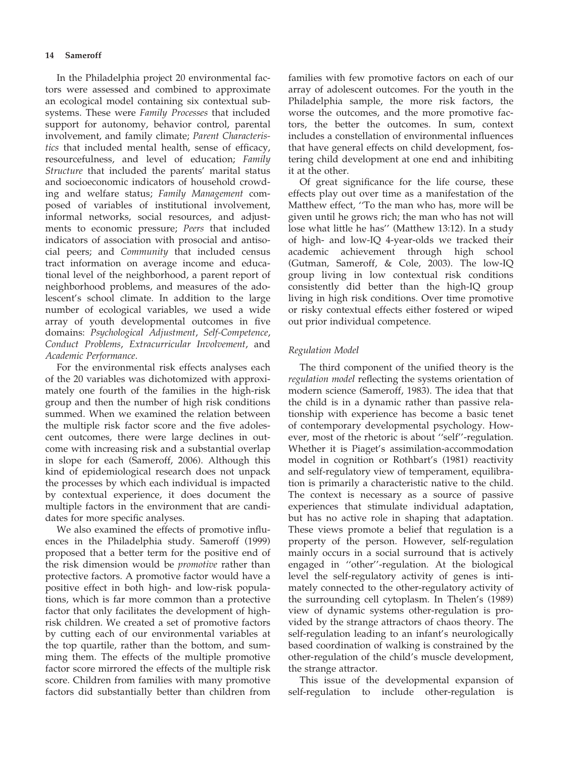In the Philadelphia project 20 environmental factors were assessed and combined to approximate an ecological model containing six contextual subsystems. These were Family Processes that included support for autonomy, behavior control, parental involvement, and family climate; Parent Characteristics that included mental health, sense of efficacy, resourcefulness, and level of education; Family Structure that included the parents' marital status and socioeconomic indicators of household crowding and welfare status; Family Management composed of variables of institutional involvement, informal networks, social resources, and adjustments to economic pressure; Peers that included indicators of association with prosocial and antisocial peers; and Community that included census tract information on average income and educational level of the neighborhood, a parent report of neighborhood problems, and measures of the adolescent's school climate. In addition to the large number of ecological variables, we used a wide array of youth developmental outcomes in five domains: Psychological Adjustment, Self-Competence, Conduct Problems, Extracurricular Involvement, and Academic Performance.

For the environmental risk effects analyses each of the 20 variables was dichotomized with approximately one fourth of the families in the high-risk group and then the number of high risk conditions summed. When we examined the relation between the multiple risk factor score and the five adolescent outcomes, there were large declines in outcome with increasing risk and a substantial overlap in slope for each (Sameroff, 2006). Although this kind of epidemiological research does not unpack the processes by which each individual is impacted by contextual experience, it does document the multiple factors in the environment that are candidates for more specific analyses.

We also examined the effects of promotive influences in the Philadelphia study. Sameroff (1999) proposed that a better term for the positive end of the risk dimension would be *promotive* rather than protective factors. A promotive factor would have a positive effect in both high- and low-risk populations, which is far more common than a protective factor that only facilitates the development of highrisk children. We created a set of promotive factors by cutting each of our environmental variables at the top quartile, rather than the bottom, and summing them. The effects of the multiple promotive factor score mirrored the effects of the multiple risk score. Children from families with many promotive factors did substantially better than children from

families with few promotive factors on each of our array of adolescent outcomes. For the youth in the Philadelphia sample, the more risk factors, the worse the outcomes, and the more promotive factors, the better the outcomes. In sum, context includes a constellation of environmental influences that have general effects on child development, fostering child development at one end and inhibiting it at the other.

Of great significance for the life course, these effects play out over time as a manifestation of the Matthew effect, ''To the man who has, more will be given until he grows rich; the man who has not will lose what little he has'' (Matthew 13:12). In a study of high- and low-IQ 4-year-olds we tracked their academic achievement through high school (Gutman, Sameroff, & Cole, 2003). The low-IQ group living in low contextual risk conditions consistently did better than the high-IQ group living in high risk conditions. Over time promotive or risky contextual effects either fostered or wiped out prior individual competence.

# Regulation Model

The third component of the unified theory is the regulation model reflecting the systems orientation of modern science (Sameroff, 1983). The idea that that the child is in a dynamic rather than passive relationship with experience has become a basic tenet of contemporary developmental psychology. However, most of the rhetoric is about ''self''-regulation. Whether it is Piaget's assimilation-accommodation model in cognition or Rothbart's (1981) reactivity and self-regulatory view of temperament, equilibration is primarily a characteristic native to the child. The context is necessary as a source of passive experiences that stimulate individual adaptation, but has no active role in shaping that adaptation. These views promote a belief that regulation is a property of the person. However, self-regulation mainly occurs in a social surround that is actively engaged in ''other''-regulation. At the biological level the self-regulatory activity of genes is intimately connected to the other-regulatory activity of the surrounding cell cytoplasm. In Thelen's (1989) view of dynamic systems other-regulation is provided by the strange attractors of chaos theory. The self-regulation leading to an infant's neurologically based coordination of walking is constrained by the other-regulation of the child's muscle development, the strange attractor.

This issue of the developmental expansion of self-regulation to include other-regulation is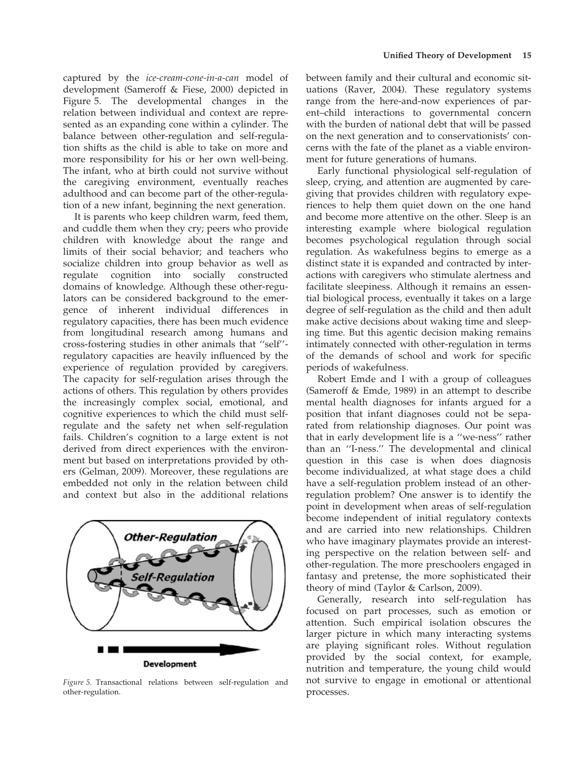captured by the ice-cream-cone-in-a-can model of development (Sameroff & Fiese, 2000) depicted in Figure 5. The developmental changes in the relation between individual and context are represented as an expanding cone within a cylinder. The balance between other-regulation and self-regulation shifts as the child is able to take on more and more responsibility for his or her own well-being. The infant, who at birth could not survive without the caregiving environment, eventually reaches adulthood and can become part of the other-regulation of a new infant, beginning the next generation.

It is parents who keep children warm, feed them, and cuddle them when they cry; peers who provide children with knowledge about the range and limits of their social behavior; and teachers who socialize children into group behavior as well as regulate cognition into socially constructed domains of knowledge. Although these other-regulators can be considered background to the emergence of inherent individual differences in regulatory capacities, there has been much evidence from longitudinal research among humans and cross-fostering studies in other animals that ''self'' regulatory capacities are heavily influenced by the experience of regulation provided by caregivers. The capacity for self-regulation arises through the actions of others. This regulation by others provides the increasingly complex social, emotional, and cognitive experiences to which the child must selfregulate and the safety net when self-regulation fails. Children's cognition to a large extent is not derived from direct experiences with the environment but based on interpretations provided by others (Gelman, 2009). Moreover, these regulations are embedded not only in the relation between child and context but also in the additional relations



Figure 5. Transactional relations between self-regulation and other-regulation.

between family and their cultural and economic situations (Raver, 2004). These regulatory systems range from the here-and-now experiences of parent–child interactions to governmental concern with the burden of national debt that will be passed on the next generation and to conservationists' concerns with the fate of the planet as a viable environment for future generations of humans.

Early functional physiological self-regulation of sleep, crying, and attention are augmented by caregiving that provides children with regulatory experiences to help them quiet down on the one hand and become more attentive on the other. Sleep is an interesting example where biological regulation becomes psychological regulation through social regulation. As wakefulness begins to emerge as a distinct state it is expanded and contracted by interactions with caregivers who stimulate alertness and facilitate sleepiness. Although it remains an essential biological process, eventually it takes on a large degree of self-regulation as the child and then adult make active decisions about waking time and sleeping time. But this agentic decision making remains intimately connected with other-regulation in terms of the demands of school and work for specific periods of wakefulness.

Robert Emde and I with a group of colleagues (Sameroff & Emde, 1989) in an attempt to describe mental health diagnoses for infants argued for a position that infant diagnoses could not be separated from relationship diagnoses. Our point was that in early development life is a ''we-ness'' rather than an ''I-ness.'' The developmental and clinical question in this case is when does diagnosis become individualized, at what stage does a child have a self-regulation problem instead of an otherregulation problem? One answer is to identify the point in development when areas of self-regulation become independent of initial regulatory contexts and are carried into new relationships. Children who have imaginary playmates provide an interesting perspective on the relation between self- and other-regulation. The more preschoolers engaged in fantasy and pretense, the more sophisticated their theory of mind (Taylor & Carlson, 2009).

Generally, research into self-regulation has focused on part processes, such as emotion or attention. Such empirical isolation obscures the larger picture in which many interacting systems are playing significant roles. Without regulation provided by the social context, for example, nutrition and temperature, the young child would not survive to engage in emotional or attentional processes.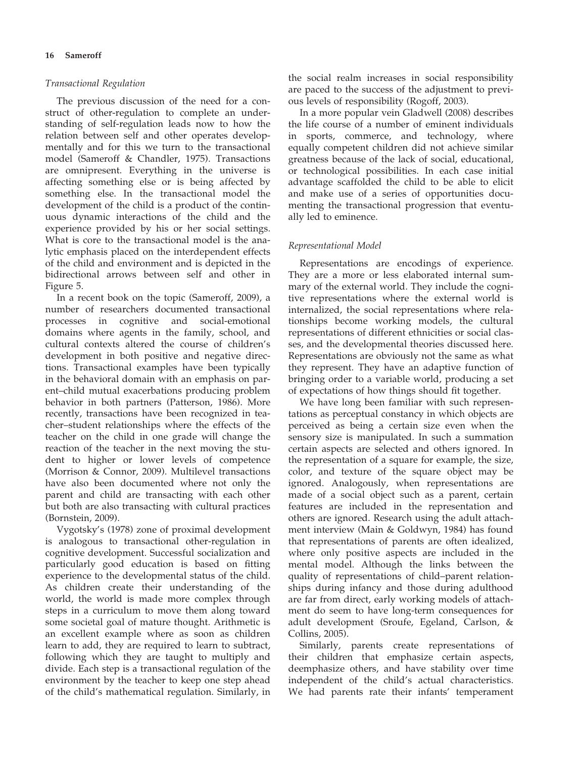#### Transactional Regulation

The previous discussion of the need for a construct of other-regulation to complete an understanding of self-regulation leads now to how the relation between self and other operates developmentally and for this we turn to the transactional model (Sameroff & Chandler, 1975). Transactions are omnipresent. Everything in the universe is affecting something else or is being affected by something else. In the transactional model the development of the child is a product of the continuous dynamic interactions of the child and the experience provided by his or her social settings. What is core to the transactional model is the analytic emphasis placed on the interdependent effects of the child and environment and is depicted in the bidirectional arrows between self and other in Figure 5.

In a recent book on the topic (Sameroff, 2009), a number of researchers documented transactional processes in cognitive and social-emotional domains where agents in the family, school, and cultural contexts altered the course of children's development in both positive and negative directions. Transactional examples have been typically in the behavioral domain with an emphasis on parent–child mutual exacerbations producing problem behavior in both partners (Patterson, 1986). More recently, transactions have been recognized in teacher–student relationships where the effects of the teacher on the child in one grade will change the reaction of the teacher in the next moving the student to higher or lower levels of competence (Morrison & Connor, 2009). Multilevel transactions have also been documented where not only the parent and child are transacting with each other but both are also transacting with cultural practices (Bornstein, 2009).

Vygotsky's (1978) zone of proximal development is analogous to transactional other-regulation in cognitive development. Successful socialization and particularly good education is based on fitting experience to the developmental status of the child. As children create their understanding of the world, the world is made more complex through steps in a curriculum to move them along toward some societal goal of mature thought. Arithmetic is an excellent example where as soon as children learn to add, they are required to learn to subtract, following which they are taught to multiply and divide. Each step is a transactional regulation of the environment by the teacher to keep one step ahead of the child's mathematical regulation. Similarly, in

the social realm increases in social responsibility are paced to the success of the adjustment to previous levels of responsibility (Rogoff, 2003).

In a more popular vein Gladwell (2008) describes the life course of a number of eminent individuals in sports, commerce, and technology, where equally competent children did not achieve similar greatness because of the lack of social, educational, or technological possibilities. In each case initial advantage scaffolded the child to be able to elicit and make use of a series of opportunities documenting the transactional progression that eventually led to eminence.

#### Representational Model

Representations are encodings of experience. They are a more or less elaborated internal summary of the external world. They include the cognitive representations where the external world is internalized, the social representations where relationships become working models, the cultural representations of different ethnicities or social classes, and the developmental theories discussed here. Representations are obviously not the same as what they represent. They have an adaptive function of bringing order to a variable world, producing a set of expectations of how things should fit together.

We have long been familiar with such representations as perceptual constancy in which objects are perceived as being a certain size even when the sensory size is manipulated. In such a summation certain aspects are selected and others ignored. In the representation of a square for example, the size, color, and texture of the square object may be ignored. Analogously, when representations are made of a social object such as a parent, certain features are included in the representation and others are ignored. Research using the adult attachment interview (Main & Goldwyn, 1984) has found that representations of parents are often idealized, where only positive aspects are included in the mental model. Although the links between the quality of representations of child–parent relationships during infancy and those during adulthood are far from direct, early working models of attachment do seem to have long-term consequences for adult development (Sroufe, Egeland, Carlson, & Collins, 2005).

Similarly, parents create representations of their children that emphasize certain aspects, deemphasize others, and have stability over time independent of the child's actual characteristics. We had parents rate their infants' temperament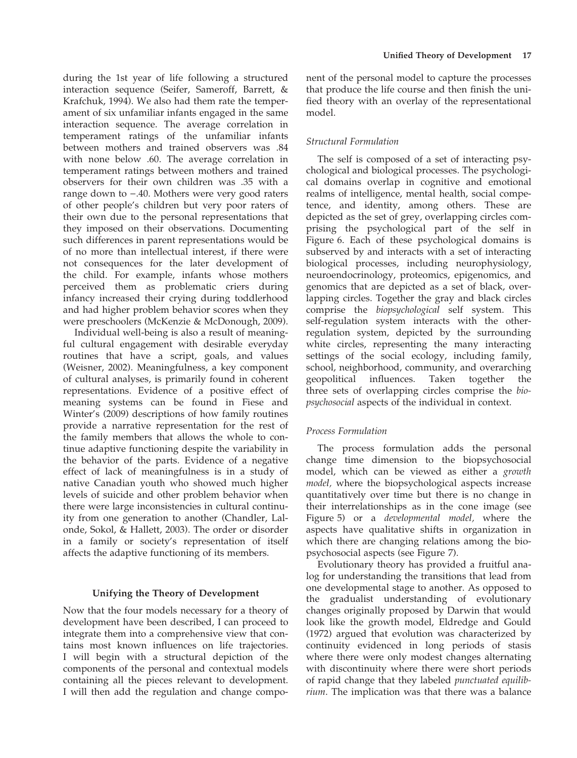during the 1st year of life following a structured interaction sequence (Seifer, Sameroff, Barrett, & Krafchuk, 1994). We also had them rate the temperament of six unfamiliar infants engaged in the same interaction sequence. The average correlation in temperament ratings of the unfamiliar infants between mothers and trained observers was .84 with none below .60. The average correlation in temperament ratings between mothers and trained observers for their own children was .35 with a range down to  $-.40$ . Mothers were very good raters of other people's children but very poor raters of their own due to the personal representations that they imposed on their observations. Documenting such differences in parent representations would be of no more than intellectual interest, if there were not consequences for the later development of the child. For example, infants whose mothers perceived them as problematic criers during infancy increased their crying during toddlerhood and had higher problem behavior scores when they were preschoolers (McKenzie & McDonough, 2009).

Individual well-being is also a result of meaningful cultural engagement with desirable everyday routines that have a script, goals, and values (Weisner, 2002). Meaningfulness, a key component of cultural analyses, is primarily found in coherent representations. Evidence of a positive effect of meaning systems can be found in Fiese and Winter's (2009) descriptions of how family routines provide a narrative representation for the rest of the family members that allows the whole to continue adaptive functioning despite the variability in the behavior of the parts. Evidence of a negative effect of lack of meaningfulness is in a study of native Canadian youth who showed much higher levels of suicide and other problem behavior when there were large inconsistencies in cultural continuity from one generation to another (Chandler, Lalonde, Sokol, & Hallett, 2003). The order or disorder in a family or society's representation of itself affects the adaptive functioning of its members.

## Unifying the Theory of Development

Now that the four models necessary for a theory of development have been described, I can proceed to integrate them into a comprehensive view that contains most known influences on life trajectories. I will begin with a structural depiction of the components of the personal and contextual models containing all the pieces relevant to development. I will then add the regulation and change component of the personal model to capture the processes that produce the life course and then finish the unified theory with an overlay of the representational model.

# Structural Formulation

The self is composed of a set of interacting psychological and biological processes. The psychological domains overlap in cognitive and emotional realms of intelligence, mental health, social competence, and identity, among others. These are depicted as the set of grey, overlapping circles comprising the psychological part of the self in Figure 6. Each of these psychological domains is subserved by and interacts with a set of interacting biological processes, including neurophysiology, neuroendocrinology, proteomics, epigenomics, and genomics that are depicted as a set of black, overlapping circles. Together the gray and black circles comprise the biopsychological self system. This self-regulation system interacts with the otherregulation system, depicted by the surrounding white circles, representing the many interacting settings of the social ecology, including family, school, neighborhood, community, and overarching geopolitical influences. Taken together the three sets of overlapping circles comprise the biopsychosocial aspects of the individual in context.

## Process Formulation

The process formulation adds the personal change time dimension to the biopsychosocial model, which can be viewed as either a growth model, where the biopsychological aspects increase quantitatively over time but there is no change in their interrelationships as in the cone image (see Figure 5) or a developmental model, where the aspects have qualitative shifts in organization in which there are changing relations among the biopsychosocial aspects (see Figure 7).

Evolutionary theory has provided a fruitful analog for understanding the transitions that lead from one developmental stage to another. As opposed to the gradualist understanding of evolutionary changes originally proposed by Darwin that would look like the growth model, Eldredge and Gould (1972) argued that evolution was characterized by continuity evidenced in long periods of stasis where there were only modest changes alternating with discontinuity where there were short periods of rapid change that they labeled punctuated equilibrium. The implication was that there was a balance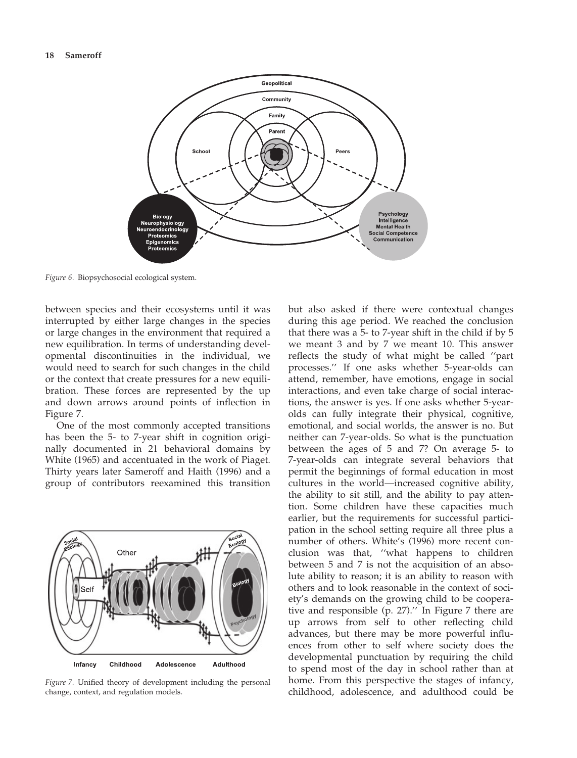

Figure 6. Biopsychosocial ecological system.

between species and their ecosystems until it was interrupted by either large changes in the species or large changes in the environment that required a new equilibration. In terms of understanding developmental discontinuities in the individual, we would need to search for such changes in the child or the context that create pressures for a new equilibration. These forces are represented by the up and down arrows around points of inflection in Figure 7.

One of the most commonly accepted transitions has been the 5- to 7-year shift in cognition originally documented in 21 behavioral domains by White (1965) and accentuated in the work of Piaget. Thirty years later Sameroff and Haith (1996) and a group of contributors reexamined this transition



Figure 7. Unified theory of development including the personal change, context, and regulation models.

but also asked if there were contextual changes during this age period. We reached the conclusion that there was a 5- to 7-year shift in the child if by 5 we meant 3 and by 7 we meant 10. This answer reflects the study of what might be called ''part processes.'' If one asks whether 5-year-olds can attend, remember, have emotions, engage in social interactions, and even take charge of social interactions, the answer is yes. If one asks whether 5-yearolds can fully integrate their physical, cognitive, emotional, and social worlds, the answer is no. But neither can 7-year-olds. So what is the punctuation between the ages of 5 and 7? On average 5- to 7-year-olds can integrate several behaviors that permit the beginnings of formal education in most cultures in the world—increased cognitive ability, the ability to sit still, and the ability to pay attention. Some children have these capacities much earlier, but the requirements for successful participation in the school setting require all three plus a number of others. White's (1996) more recent conclusion was that, ''what happens to children between 5 and 7 is not the acquisition of an absolute ability to reason; it is an ability to reason with others and to look reasonable in the context of society's demands on the growing child to be cooperative and responsible (p. 27).'' In Figure 7 there are up arrows from self to other reflecting child advances, but there may be more powerful influences from other to self where society does the developmental punctuation by requiring the child to spend most of the day in school rather than at home. From this perspective the stages of infancy, childhood, adolescence, and adulthood could be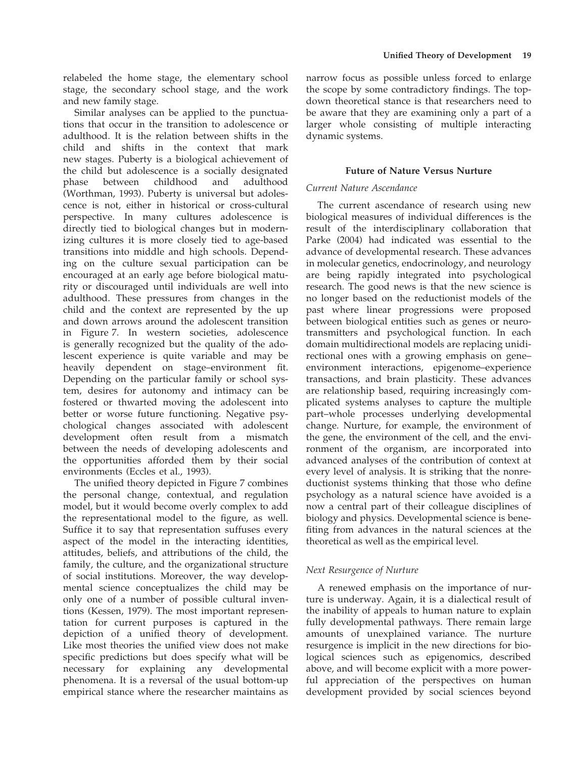relabeled the home stage, the elementary school stage, the secondary school stage, and the work and new family stage.

Similar analyses can be applied to the punctuations that occur in the transition to adolescence or adulthood. It is the relation between shifts in the child and shifts in the context that mark new stages. Puberty is a biological achievement of the child but adolescence is a socially designated phase between childhood and adulthood (Worthman, 1993). Puberty is universal but adolescence is not, either in historical or cross-cultural perspective. In many cultures adolescence is directly tied to biological changes but in modernizing cultures it is more closely tied to age-based transitions into middle and high schools. Depending on the culture sexual participation can be encouraged at an early age before biological maturity or discouraged until individuals are well into adulthood. These pressures from changes in the child and the context are represented by the up and down arrows around the adolescent transition in Figure 7. In western societies, adolescence is generally recognized but the quality of the adolescent experience is quite variable and may be heavily dependent on stage–environment fit. Depending on the particular family or school system, desires for autonomy and intimacy can be fostered or thwarted moving the adolescent into better or worse future functioning. Negative psychological changes associated with adolescent development often result from a mismatch between the needs of developing adolescents and the opportunities afforded them by their social environments (Eccles et al., 1993).

The unified theory depicted in Figure 7 combines the personal change, contextual, and regulation model, but it would become overly complex to add the representational model to the figure, as well. Suffice it to say that representation suffuses every aspect of the model in the interacting identities, attitudes, beliefs, and attributions of the child, the family, the culture, and the organizational structure of social institutions. Moreover, the way developmental science conceptualizes the child may be only one of a number of possible cultural inventions (Kessen, 1979). The most important representation for current purposes is captured in the depiction of a unified theory of development. Like most theories the unified view does not make specific predictions but does specify what will be necessary for explaining any developmental phenomena. It is a reversal of the usual bottom-up empirical stance where the researcher maintains as

narrow focus as possible unless forced to enlarge the scope by some contradictory findings. The topdown theoretical stance is that researchers need to be aware that they are examining only a part of a larger whole consisting of multiple interacting dynamic systems.

# Future of Nature Versus Nurture

## Current Nature Ascendance

The current ascendance of research using new biological measures of individual differences is the result of the interdisciplinary collaboration that Parke (2004) had indicated was essential to the advance of developmental research. These advances in molecular genetics, endocrinology, and neurology are being rapidly integrated into psychological research. The good news is that the new science is no longer based on the reductionist models of the past where linear progressions were proposed between biological entities such as genes or neurotransmitters and psychological function. In each domain multidirectional models are replacing unidirectional ones with a growing emphasis on gene– environment interactions, epigenome–experience transactions, and brain plasticity. These advances are relationship based, requiring increasingly complicated systems analyses to capture the multiple part–whole processes underlying developmental change. Nurture, for example, the environment of the gene, the environment of the cell, and the environment of the organism, are incorporated into advanced analyses of the contribution of context at every level of analysis. It is striking that the nonreductionist systems thinking that those who define psychology as a natural science have avoided is a now a central part of their colleague disciplines of biology and physics. Developmental science is benefiting from advances in the natural sciences at the theoretical as well as the empirical level.

# Next Resurgence of Nurture

A renewed emphasis on the importance of nurture is underway. Again, it is a dialectical result of the inability of appeals to human nature to explain fully developmental pathways. There remain large amounts of unexplained variance. The nurture resurgence is implicit in the new directions for biological sciences such as epigenomics, described above, and will become explicit with a more powerful appreciation of the perspectives on human development provided by social sciences beyond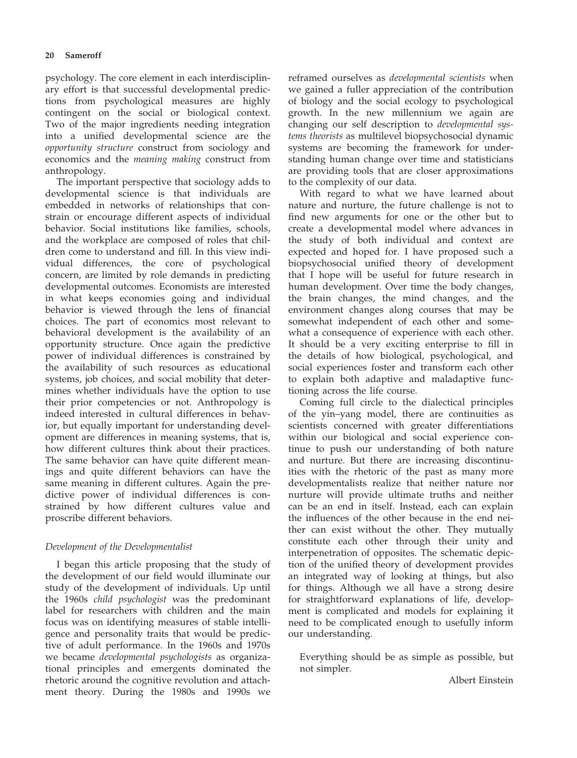psychology. The core element in each interdisciplinary effort is that successful developmental predictions from psychological measures are highly contingent on the social or biological context. Two of the major ingredients needing integration into a unified developmental science are the opportunity structure construct from sociology and economics and the meaning making construct from anthropology.

The important perspective that sociology adds to developmental science is that individuals are embedded in networks of relationships that constrain or encourage different aspects of individual behavior. Social institutions like families, schools, and the workplace are composed of roles that children come to understand and fill. In this view individual differences, the core of psychological concern, are limited by role demands in predicting developmental outcomes. Economists are interested in what keeps economies going and individual behavior is viewed through the lens of financial choices. The part of economics most relevant to behavioral development is the availability of an opportunity structure. Once again the predictive power of individual differences is constrained by the availability of such resources as educational systems, job choices, and social mobility that determines whether individuals have the option to use their prior competencies or not. Anthropology is indeed interested in cultural differences in behavior, but equally important for understanding development are differences in meaning systems, that is, how different cultures think about their practices. The same behavior can have quite different meanings and quite different behaviors can have the same meaning in different cultures. Again the predictive power of individual differences is constrained by how different cultures value and proscribe different behaviors.

# Development of the Developmentalist

I began this article proposing that the study of the development of our field would illuminate our study of the development of individuals. Up until the 1960s child psychologist was the predominant label for researchers with children and the main focus was on identifying measures of stable intelligence and personality traits that would be predictive of adult performance. In the 1960s and 1970s we became developmental psychologists as organizational principles and emergents dominated the rhetoric around the cognitive revolution and attachment theory. During the 1980s and 1990s we

reframed ourselves as developmental scientists when we gained a fuller appreciation of the contribution of biology and the social ecology to psychological growth. In the new millennium we again are changing our self description to developmental systems theorists as multilevel biopsychosocial dynamic systems are becoming the framework for understanding human change over time and statisticians are providing tools that are closer approximations to the complexity of our data.

With regard to what we have learned about nature and nurture, the future challenge is not to find new arguments for one or the other but to create a developmental model where advances in the study of both individual and context are expected and hoped for. I have proposed such a biopsychosocial unified theory of development that I hope will be useful for future research in human development. Over time the body changes, the brain changes, the mind changes, and the environment changes along courses that may be somewhat independent of each other and somewhat a consequence of experience with each other. It should be a very exciting enterprise to fill in the details of how biological, psychological, and social experiences foster and transform each other to explain both adaptive and maladaptive functioning across the life course.

Coming full circle to the dialectical principles of the yin–yang model, there are continuities as scientists concerned with greater differentiations within our biological and social experience continue to push our understanding of both nature and nurture. But there are increasing discontinuities with the rhetoric of the past as many more developmentalists realize that neither nature nor nurture will provide ultimate truths and neither can be an end in itself. Instead, each can explain the influences of the other because in the end neither can exist without the other. They mutually constitute each other through their unity and interpenetration of opposites. The schematic depiction of the unified theory of development provides an integrated way of looking at things, but also for things. Although we all have a strong desire for straightforward explanations of life, development is complicated and models for explaining it need to be complicated enough to usefully inform our understanding.

Everything should be as simple as possible, but not simpler.

Albert Einstein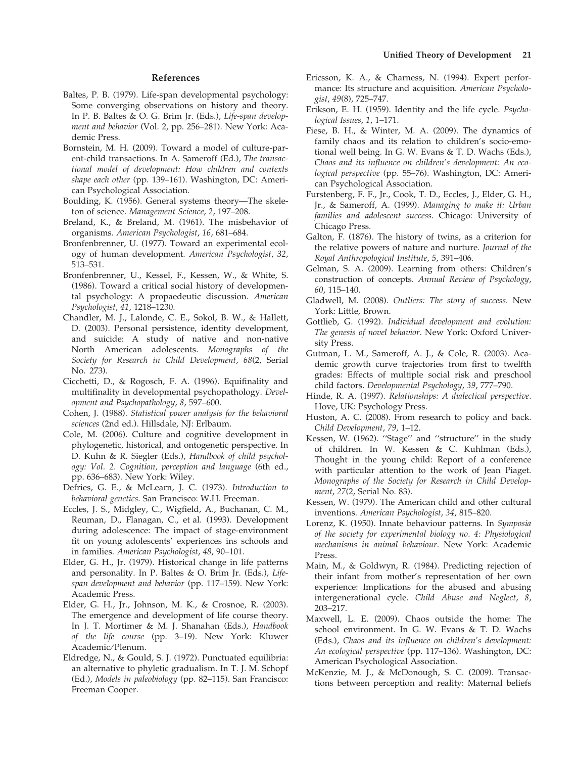#### References

- Baltes, P. B. (1979). Life-span developmental psychology: Some converging observations on history and theory. In P. B. Baltes & O. G. Brim Jr. (Eds.), Life-span development and behavior (Vol. 2, pp. 256–281). New York: Academic Press.
- Bornstein, M. H. (2009). Toward a model of culture-parent-child transactions. In A. Sameroff (Ed.), The transactional model of development: How children and contexts shape each other (pp. 139–161). Washington, DC: American Psychological Association.
- Boulding, K. (1956). General systems theory—The skeleton of science. Management Science, 2, 197–208.
- Breland, K., & Breland, M. (1961). The misbehavior of organisms. American Psychologist, 16, 681–684.
- Bronfenbrenner, U. (1977). Toward an experimental ecology of human development. American Psychologist, 32, 513–531.
- Bronfenbrenner, U., Kessel, F., Kessen, W., & White, S. (1986). Toward a critical social history of developmental psychology: A propaedeutic discussion. American Psychologist, 41, 1218–1230.
- Chandler, M. J., Lalonde, C. E., Sokol, B. W., & Hallett, D. (2003). Personal persistence, identity development, and suicide: A study of native and non-native North American adolescents. Monographs of the Society for Research in Child Development, 68(2, Serial No. 273).
- Cicchetti, D., & Rogosch, F. A. (1996). Equifinality and multifinality in developmental psychopathology. Development and Psychopathology, 8, 597–600.
- Cohen, J. (1988). Statistical power analysis for the behavioral sciences (2nd ed.). Hillsdale, NJ: Erlbaum.
- Cole, M. (2006). Culture and cognitive development in phylogenetic, historical, and ontogenetic perspective. In D. Kuhn & R. Siegler (Eds.), Handbook of child psychology: Vol. 2. Cognition, perception and language (6th ed., pp. 636–683). New York: Wiley.
- Defries, G. E., & McLearn, J. C. (1973). Introduction to behavioral genetics. San Francisco: W.H. Freeman.
- Eccles, J. S., Midgley, C., Wigfield, A., Buchanan, C. M., Reuman, D., Flanagan, C., et al. (1993). Development during adolescence: The impact of stage-environment fit on young adolescents' experiences ins schools and in families. American Psychologist, 48, 90–101.
- Elder, G. H., Jr. (1979). Historical change in life patterns and personality. In P. Baltes & O. Brim Jr. (Eds.), Lifespan development and behavior (pp. 117–159). New York: Academic Press.
- Elder, G. H., Jr., Johnson, M. K., & Crosnoe, R. (2003). The emergence and development of life course theory. In J. T. Mortimer & M. J. Shanahan (Eds.), Handbook of the life course (pp. 3–19). New York: Kluwer Academic/Plenum.
- Eldredge, N., & Gould, S. J. (1972). Punctuated equilibria: an alternative to phyletic gradualism. In T. J. M. Schopf (Ed.), Models in paleobiology (pp. 82–115). San Francisco: Freeman Cooper.
- Ericsson, K. A., & Charness, N. (1994). Expert performance: Its structure and acquisition. American Psychologist, 49(8), 725–747.
- Erikson, E. H. (1959). Identity and the life cycle. Psychological Issues, 1, 1–171.
- Fiese, B. H., & Winter, M. A. (2009). The dynamics of family chaos and its relation to children's socio-emotional well being. In G. W. Evans & T. D. Wachs (Eds.), Chaos and its influence on children's development: An ecological perspective (pp. 55–76). Washington, DC: American Psychological Association.
- Furstenberg, F. F., Jr., Cook, T. D., Eccles, J., Elder, G. H., Jr., & Sameroff, A. (1999). Managing to make it: Urban families and adolescent success. Chicago: University of Chicago Press.
- Galton, F. (1876). The history of twins, as a criterion for the relative powers of nature and nurture. Journal of the Royal Anthropological Institute, 5, 391–406.
- Gelman, S. A. (2009). Learning from others: Children's construction of concepts. Annual Review of Psychology, 60, 115–140.
- Gladwell, M. (2008). Outliers: The story of success. New York: Little, Brown.
- Gottlieb, G. (1992). Individual development and evolution: The genesis of novel behavior. New York: Oxford University Press.
- Gutman, L. M., Sameroff, A. J., & Cole, R. (2003). Academic growth curve trajectories from first to twelfth grades: Effects of multiple social risk and preschool child factors. Developmental Psychology, 39, 777–790.
- Hinde, R. A. (1997). Relationships: A dialectical perspective. Hove, UK: Psychology Press.
- Huston, A. C. (2008). From research to policy and back. Child Development, 79, 1–12.
- Kessen, W. (1962). ''Stage'' and ''structure'' in the study of children. In W. Kessen & C. Kuhlman (Eds.), Thought in the young child: Report of a conference with particular attention to the work of Jean Piaget. Monographs of the Society for Research in Child Development, 27(2, Serial No. 83).
- Kessen, W. (1979). The American child and other cultural inventions. American Psychologist, 34, 815–820.
- Lorenz, K. (1950). Innate behaviour patterns. In Symposia of the society for experimental biology no. 4: Physiological mechanisms in animal behaviour. New York: Academic Press.
- Main, M., & Goldwyn, R. (1984). Predicting rejection of their infant from mother's representation of her own experience: Implications for the abused and abusing intergenerational cycle. Child Abuse and Neglect, 8, 203–217.
- Maxwell, L. E. (2009). Chaos outside the home: The school environment. In G. W. Evans & T. D. Wachs (Eds.), Chaos and its influence on children's development: An ecological perspective (pp. 117–136). Washington, DC: American Psychological Association.
- McKenzie, M. J., & McDonough, S. C. (2009). Transactions between perception and reality: Maternal beliefs